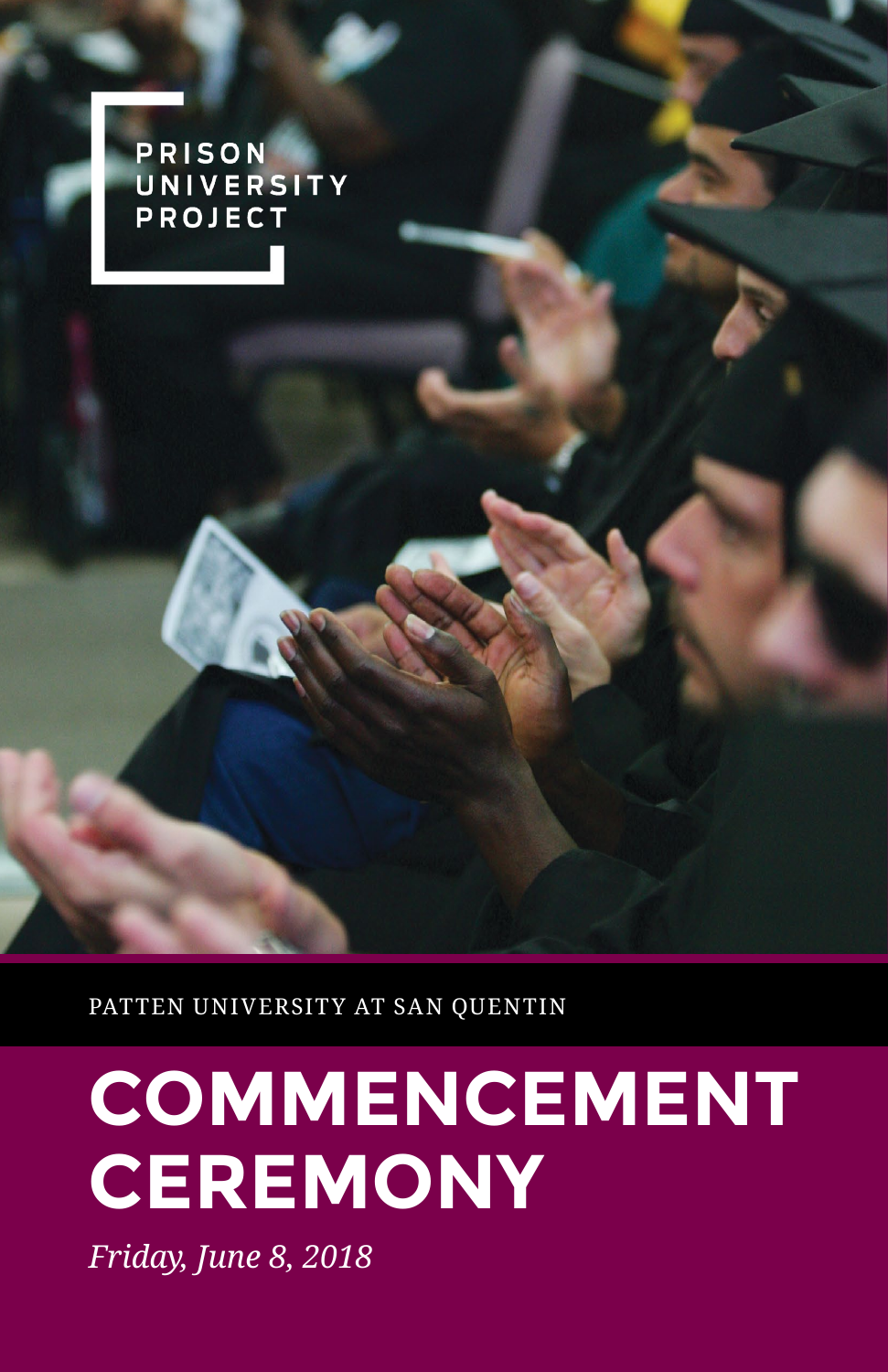PRISON UNIVERSITY **PROJECT** 

PATTEN UNIVERSITY AT SAN QUENTIN

# **COMMENCEMENT CEREMONY**

*Friday, June 8, 2018*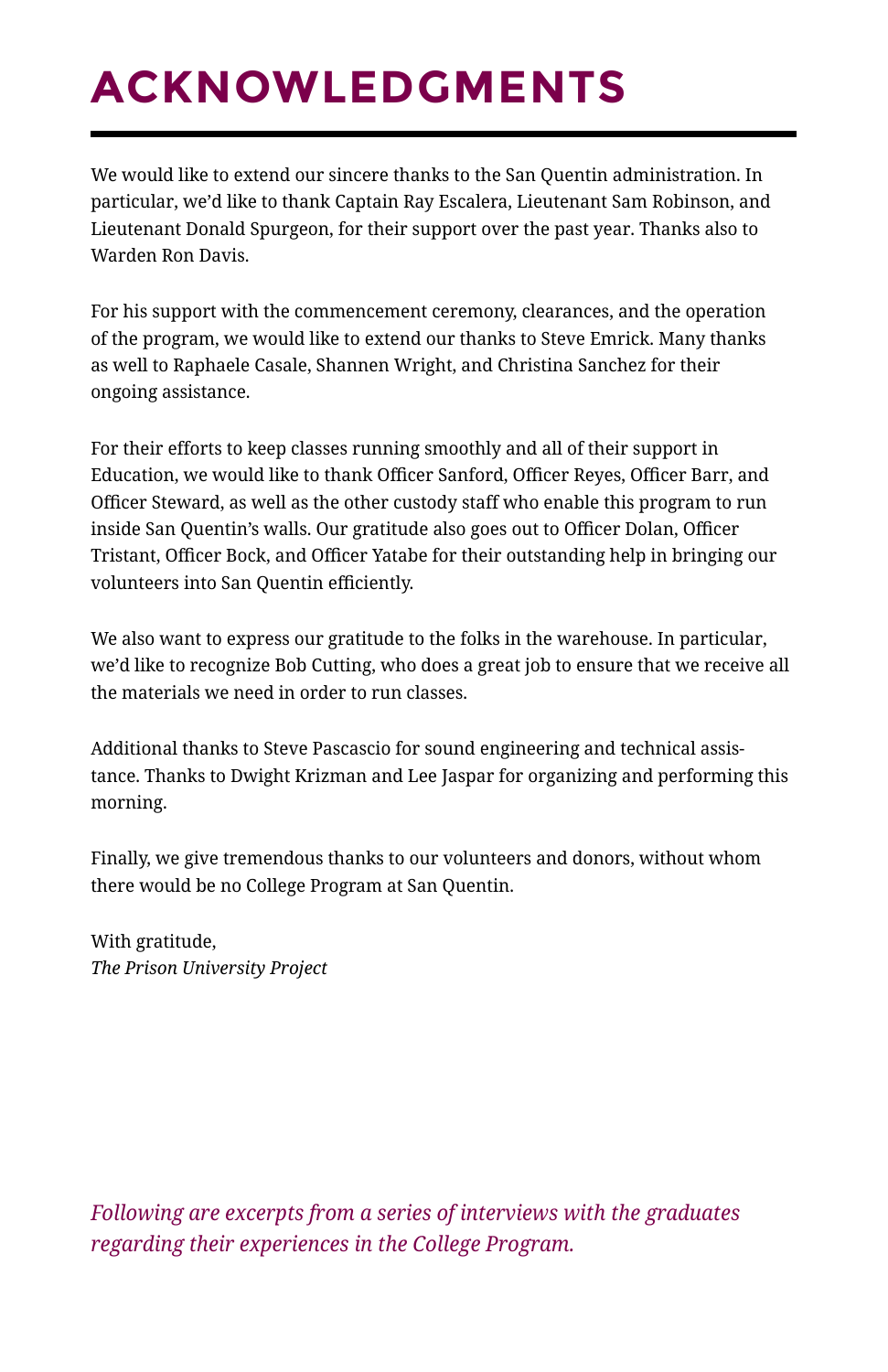## **ACKNOWLEDGMENTS**

We would like to extend our sincere thanks to the San Quentin administration. In particular, we'd like to thank Captain Ray Escalera, Lieutenant Sam Robinson, and Lieutenant Donald Spurgeon, for their support over the past year. Thanks also to Warden Ron Davis.

For his support with the commencement ceremony, clearances, and the operation of the program, we would like to extend our thanks to Steve Emrick. Many thanks as well to Raphaele Casale, Shannen Wright, and Christina Sanchez for their ongoing assistance.

For their efforts to keep classes running smoothly and all of their support in Education, we would like to thank Officer Sanford, Officer Reyes, Officer Barr, and Officer Steward, as well as the other custody staff who enable this program to run inside San Quentin's walls. Our gratitude also goes out to Officer Dolan, Officer Tristant, Officer Bock, and Officer Yatabe for their outstanding help in bringing our volunteers into San Quentin efficiently.

We also want to express our gratitude to the folks in the warehouse. In particular, we'd like to recognize Bob Cutting, who does a great job to ensure that we receive all the materials we need in order to run classes.

Additional thanks to Steve Pascascio for sound engineering and technical assistance. Thanks to Dwight Krizman and Lee Jaspar for organizing and performing this morning.

Finally, we give tremendous thanks to our volunteers and donors, without whom there would be no College Program at San Quentin.

With gratitude, *The Prison University Project*

*Following are excerpts from a series of interviews with the graduates regarding their experiences in the College Program.*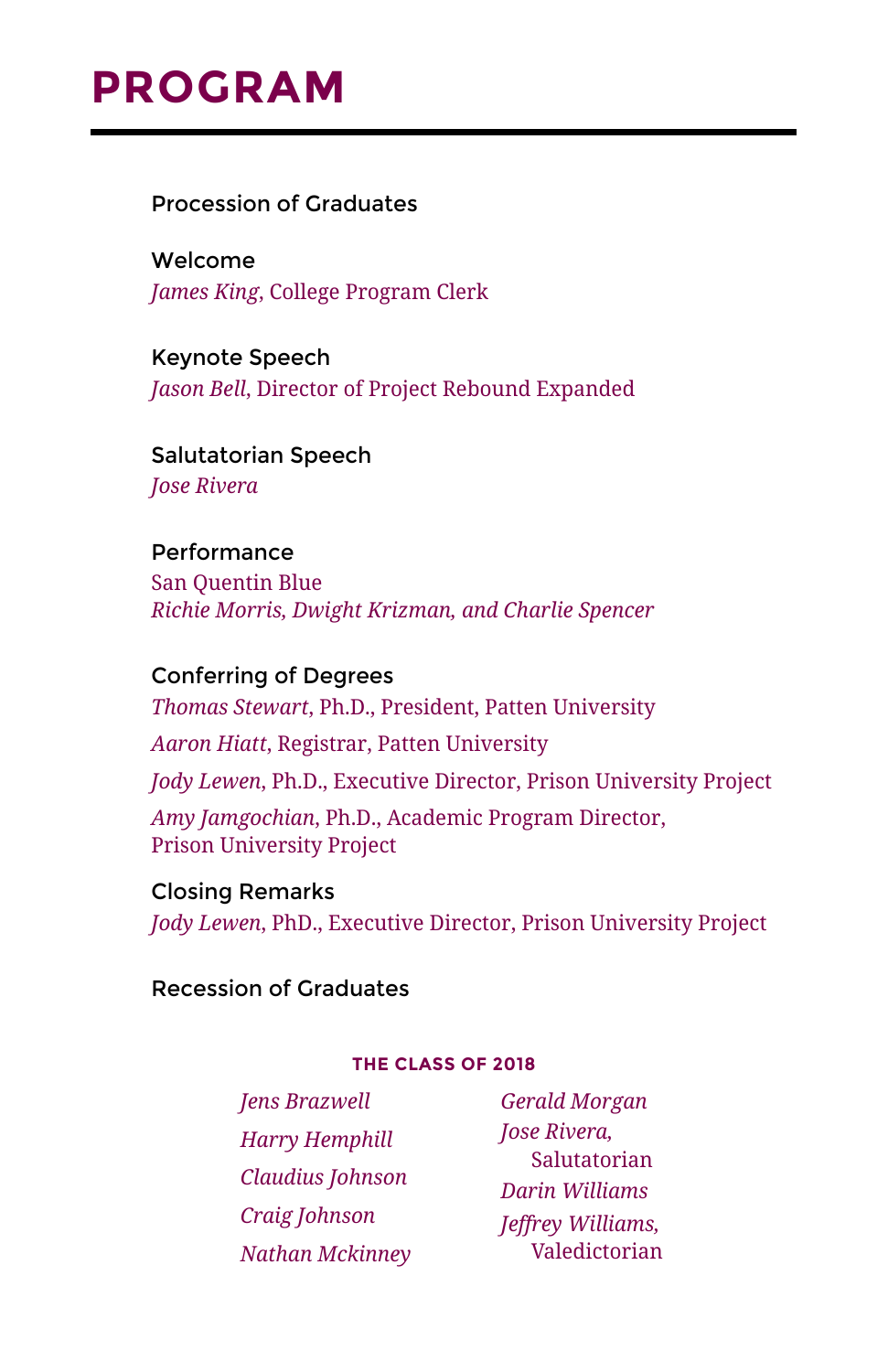### **PROGRAM**

Procession of Graduates

Welcome *James King*, College Program Clerk

Keynote Speech *Jason Bell*, Director of Project Rebound Expanded

Salutatorian Speech *Jose Rivera*

Performance San Quentin Blue *Richie Morris, Dwight Krizman, and Charlie Spencer*

Conferring of Degrees *Thomas Stewart*, Ph.D., President, Patten University *Aaron Hiatt*, Registrar, Patten University *Jody Lewen*, Ph.D., Executive Director, Prison University Project *Amy Jamgochian*, Ph.D., Academic Program Director, Prison University Project

Closing Remarks *Jody Lewen*, PhD., Executive Director, Prison University Project

Recession of Graduates

#### **THE CLASS OF 2018**

*Jens Brazwell Harry Hemphill Claudius Johnson Craig Johnson Nathan Mckinney*

*Gerald Morgan Jose Rivera,*  Salutatorian *Darin Williams Jeffrey Williams,*  Valedictorian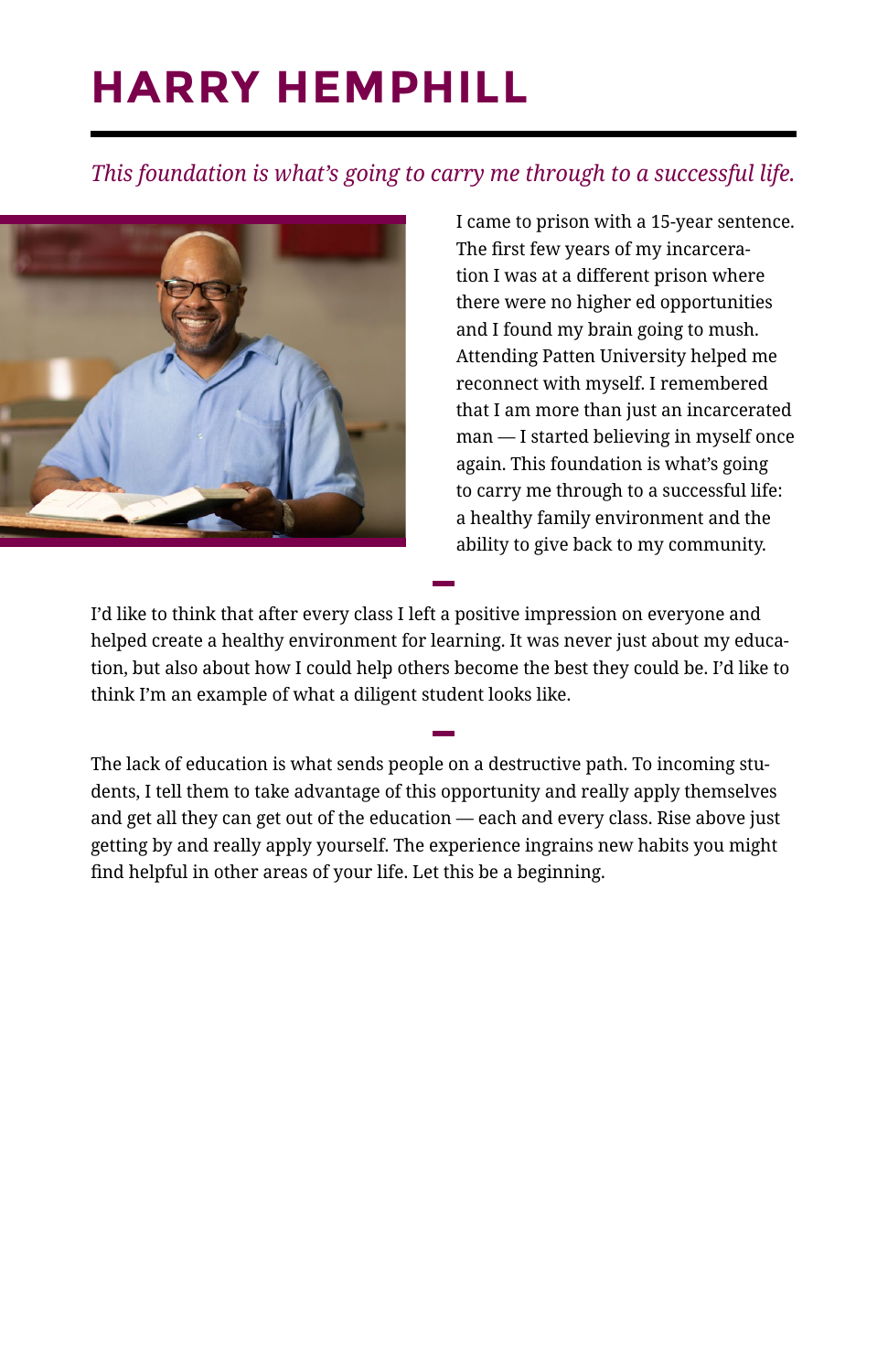### **HARRY HEMPHILL**

#### *This foundation is what's going to carry me through to a successful life.*



I came to prison with a 15-year sentence. The first few years of my incarceration I was at a different prison where there were no higher ed opportunities and I found my brain going to mush. Attending Patten University helped me reconnect with myself. I remembered that I am more than just an incarcerated man — I started believing in myself once again. This foundation is what's going to carry me through to a successful life: a healthy family environment and the ability to give back to my community.

I'd like to think that after every class I left a positive impression on everyone and helped create a healthy environment for learning. It was never just about my education, but also about how I could help others become the best they could be. I'd like to think I'm an example of what a diligent student looks like.

**—**

**—**

The lack of education is what sends people on a destructive path. To incoming students, I tell them to take advantage of this opportunity and really apply themselves and get all they can get out of the education — each and every class. Rise above just getting by and really apply yourself. The experience ingrains new habits you might find helpful in other areas of your life. Let this be a beginning.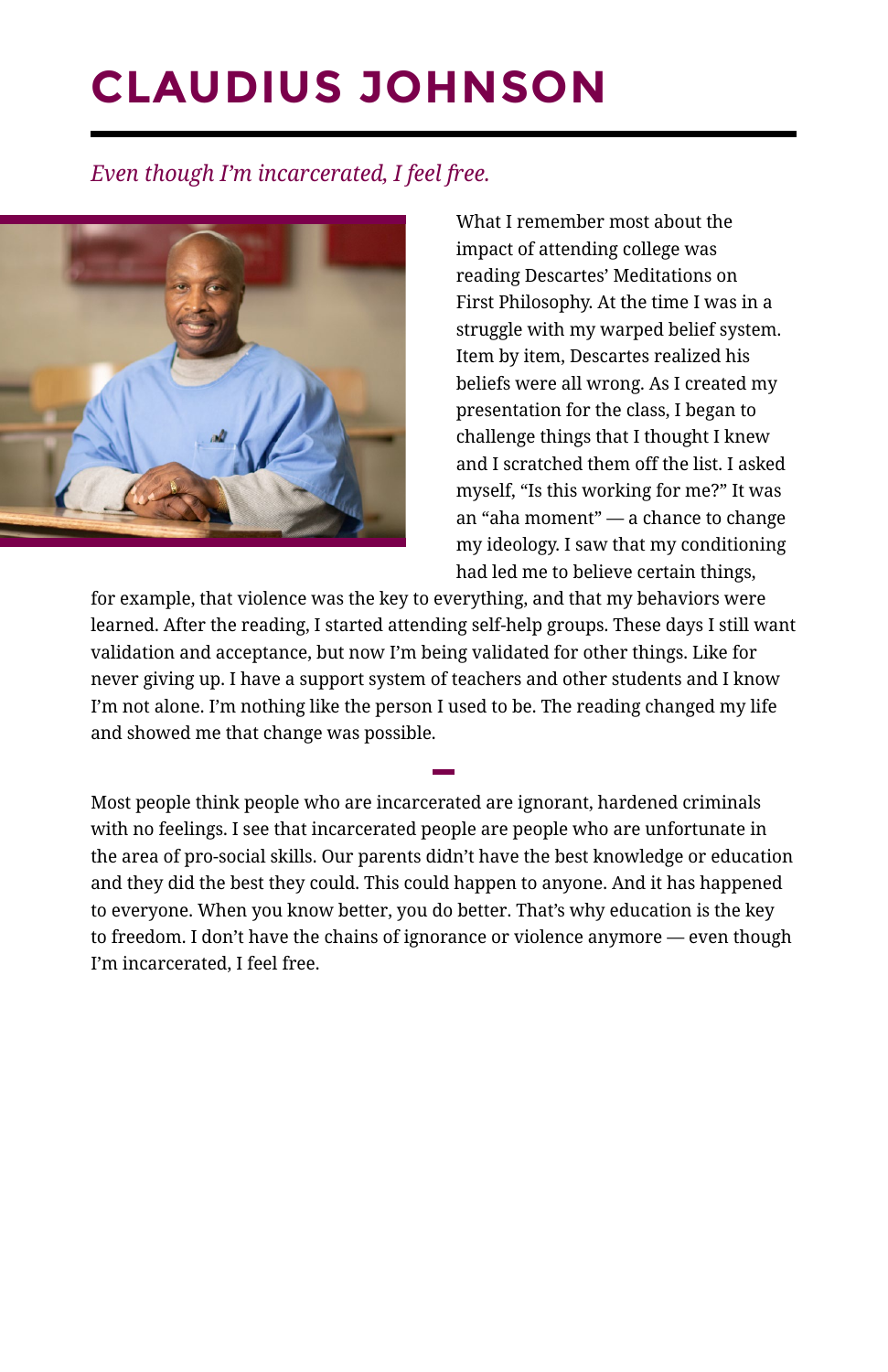### **CLAUDIUS JOHNSON**

#### *Even though I'm incarcerated, I feel free.*



What I remember most about the impact of attending college was reading Descartes' Meditations on First Philosophy. At the time I was in a struggle with my warped belief system. Item by item, Descartes realized his beliefs were all wrong. As I created my presentation for the class, I began to challenge things that I thought I knew and I scratched them off the list. I asked myself, "Is this working for me?" It was an "aha moment" — a chance to change my ideology. I saw that my conditioning had led me to believe certain things,

for example, that violence was the key to everything, and that my behaviors were learned. After the reading, I started attending self-help groups. These days I still want validation and acceptance, but now I'm being validated for other things. Like for never giving up. I have a support system of teachers and other students and I know I'm not alone. I'm nothing like the person I used to be. The reading changed my life and showed me that change was possible.

**—**

Most people think people who are incarcerated are ignorant, hardened criminals with no feelings. I see that incarcerated people are people who are unfortunate in the area of pro-social skills. Our parents didn't have the best knowledge or education and they did the best they could. This could happen to anyone. And it has happened to everyone. When you know better, you do better. That's why education is the key to freedom. I don't have the chains of ignorance or violence anymore — even though I'm incarcerated, I feel free.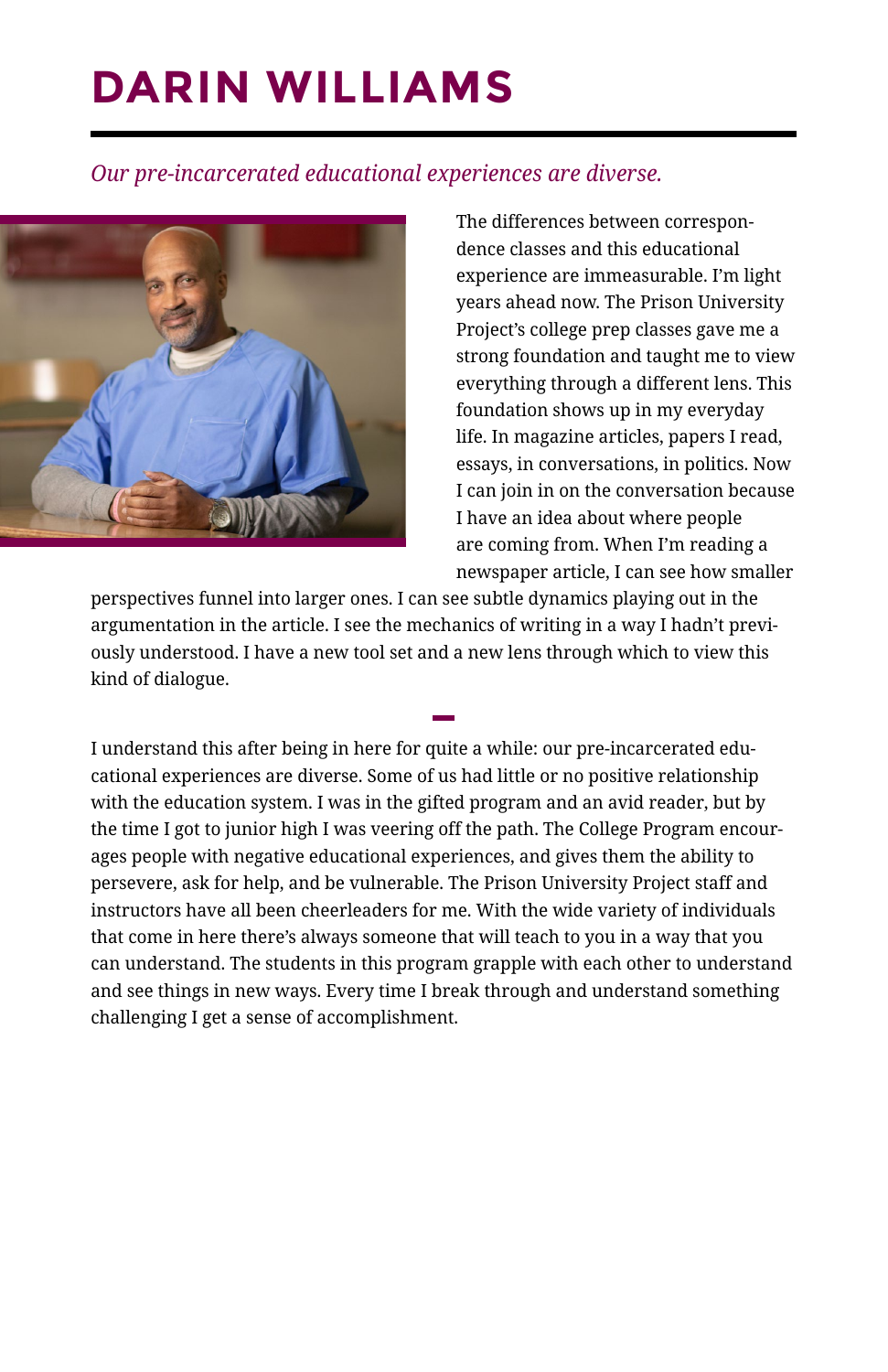### **DARIN WILLIAMS**

#### *Our pre-incarcerated educational experiences are diverse.*



The differences between correspondence classes and this educational experience are immeasurable. I'm light years ahead now. The Prison University Project's college prep classes gave me a strong foundation and taught me to view everything through a different lens. This foundation shows up in my everyday life. In magazine articles, papers I read, essays, in conversations, in politics. Now I can join in on the conversation because I have an idea about where people are coming from. When I'm reading a newspaper article, I can see how smaller

perspectives funnel into larger ones. I can see subtle dynamics playing out in the argumentation in the article. I see the mechanics of writing in a way I hadn't previously understood. I have a new tool set and a new lens through which to view this kind of dialogue.

**—**

I understand this after being in here for quite a while: our pre-incarcerated educational experiences are diverse. Some of us had little or no positive relationship with the education system. I was in the gifted program and an avid reader, but by the time I got to junior high I was veering off the path. The College Program encourages people with negative educational experiences, and gives them the ability to persevere, ask for help, and be vulnerable. The Prison University Project staff and instructors have all been cheerleaders for me. With the wide variety of individuals that come in here there's always someone that will teach to you in a way that you can understand. The students in this program grapple with each other to understand and see things in new ways. Every time I break through and understand something challenging I get a sense of accomplishment.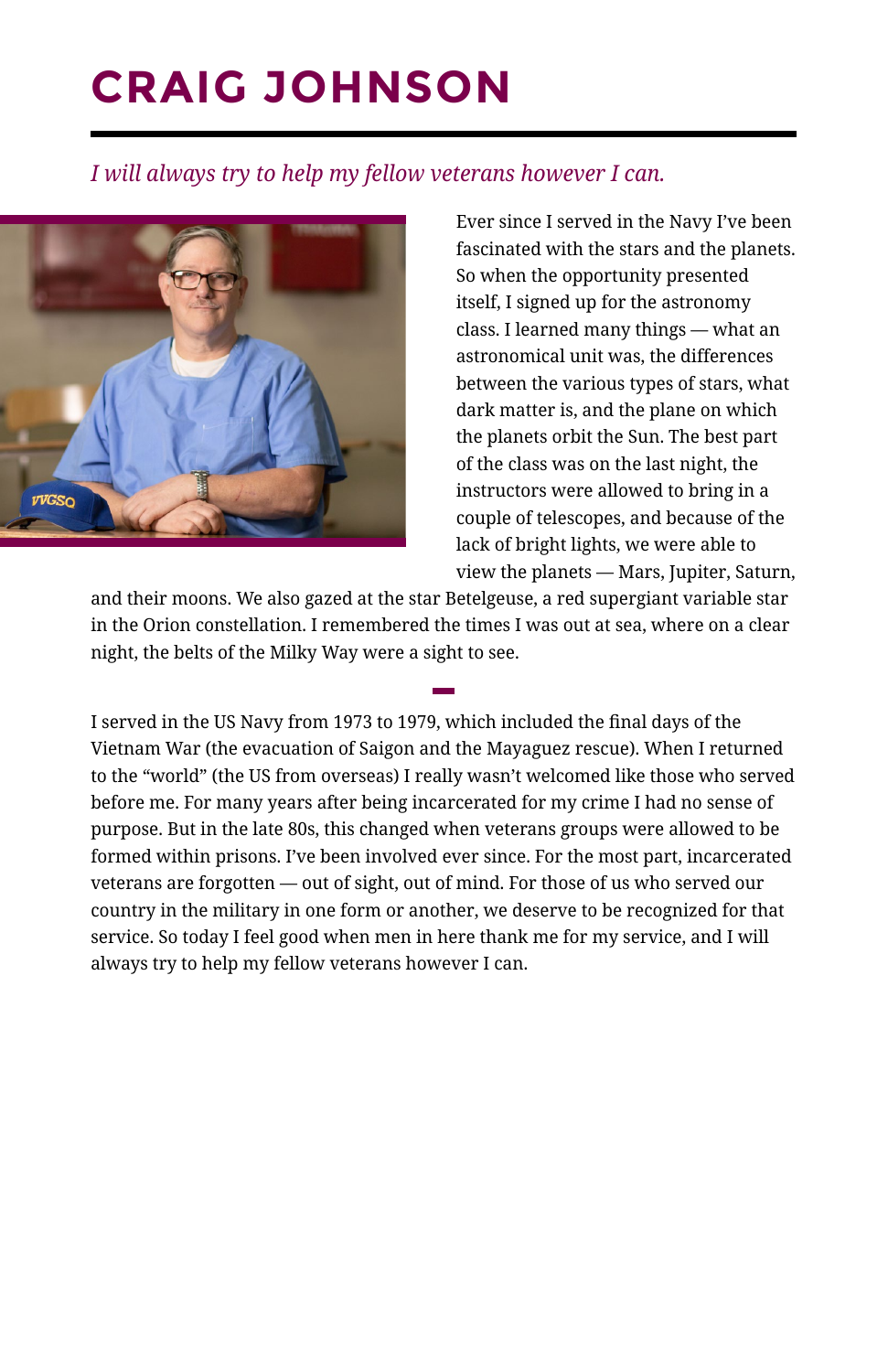### **CRAIG JOHNSON**

#### *I will always try to help my fellow veterans however I can.*



Ever since I served in the Navy I've been fascinated with the stars and the planets. So when the opportunity presented itself, I signed up for the astronomy class. I learned many things — what an astronomical unit was, the differences between the various types of stars, what dark matter is, and the plane on which the planets orbit the Sun. The best part of the class was on the last night, the instructors were allowed to bring in a couple of telescopes, and because of the lack of bright lights, we were able to view the planets — Mars, Jupiter, Saturn,

and their moons. We also gazed at the star Betelgeuse, a red supergiant variable star in the Orion constellation. I remembered the times I was out at sea, where on a clear night, the belts of the Milky Way were a sight to see.

**—**

I served in the US Navy from 1973 to 1979, which included the final days of the Vietnam War (the evacuation of Saigon and the Mayaguez rescue). When I returned to the "world" (the US from overseas) I really wasn't welcomed like those who served before me. For many years after being incarcerated for my crime I had no sense of purpose. But in the late 80s, this changed when veterans groups were allowed to be formed within prisons. I've been involved ever since. For the most part, incarcerated veterans are forgotten — out of sight, out of mind. For those of us who served our country in the military in one form or another, we deserve to be recognized for that service. So today I feel good when men in here thank me for my service, and I will always try to help my fellow veterans however I can.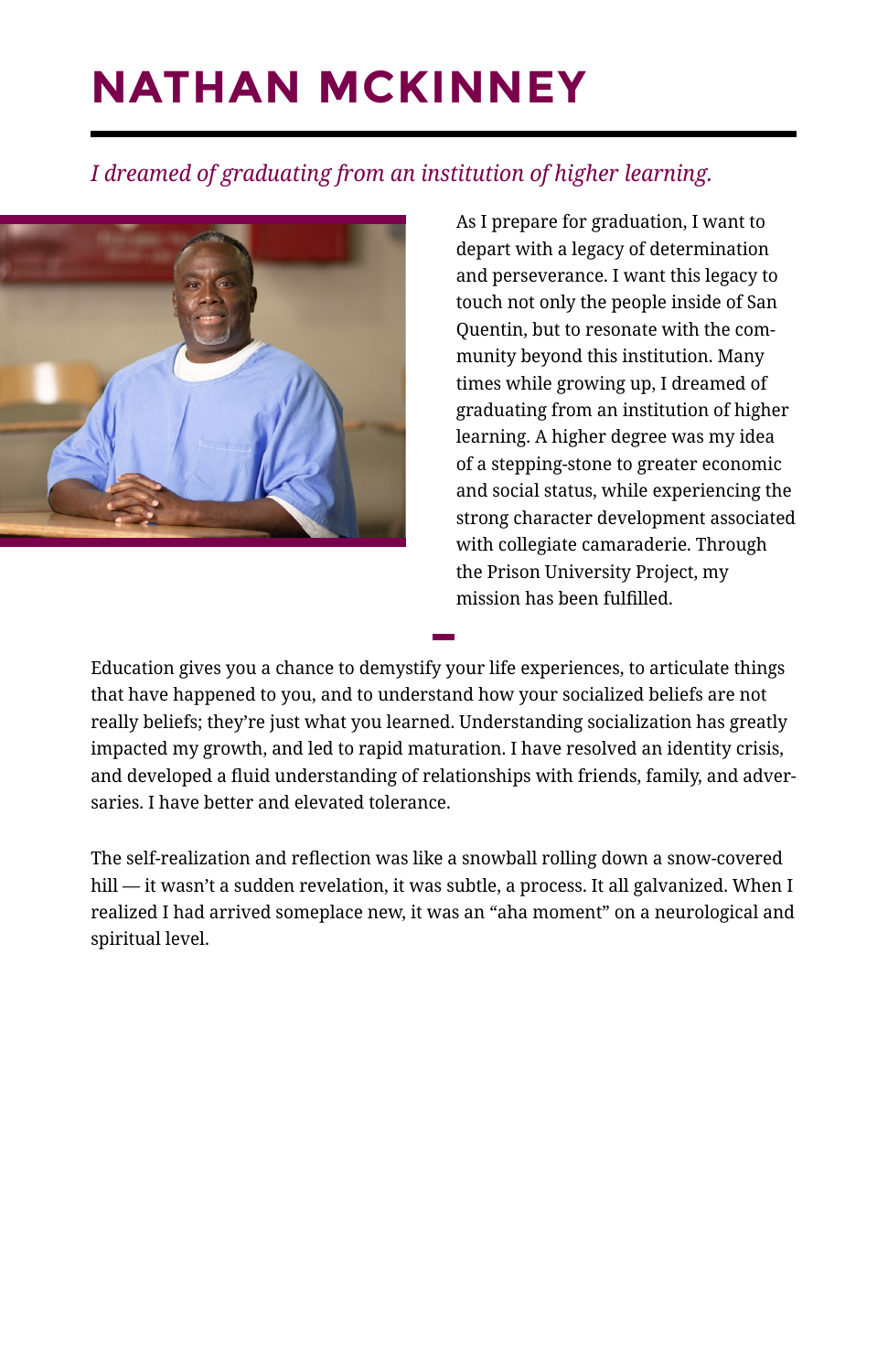## **NATHAN MCKINNEY**

#### *I dreamed of graduating from an institution of higher learning.*



As I prepare for graduation, I want to depart with a legacy of determination and perseverance. I want this legacy to touch not only the people inside of San Quentin, but to resonate with the community beyond this institution. Many times while growing up, I dreamed of graduating from an institution of higher learning. A higher degree was my idea of a stepping-stone to greater economic and social status, while experiencing the strong character development associated with collegiate camaraderie. Through the Prison University Project, my mission has been fulfilled.

Education gives you a chance to demystify your life experiences, to articulate things that have happened to you, and to understand how your socialized beliefs are not really beliefs; they're just what you learned. Understanding socialization has greatly impacted my growth, and led to rapid maturation. I have resolved an identity crisis, and developed a fluid understanding of relationships with friends, family, and adversaries. I have better and elevated tolerance.

**—**

The self-realization and reflection was like a snowball rolling down a snow-covered hill — it wasn't a sudden revelation, it was subtle, a process. It all galvanized. When I realized I had arrived someplace new, it was an "aha moment" on a neurological and spiritual level.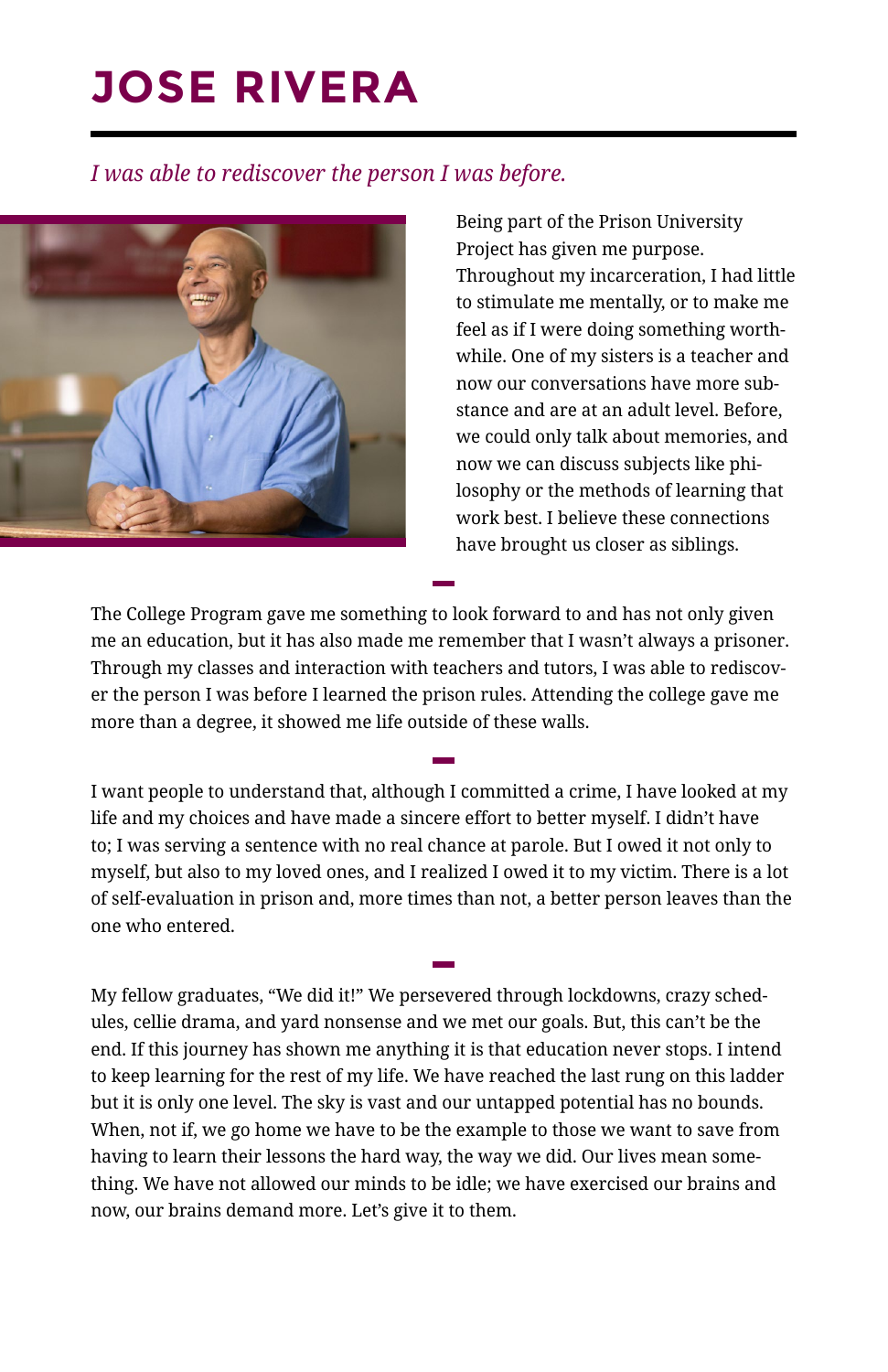### **JOSE RIVERA**

#### *I was able to rediscover the person I was before.*



Being part of the Prison University Project has given me purpose. Throughout my incarceration, I had little to stimulate me mentally, or to make me feel as if I were doing something worthwhile. One of my sisters is a teacher and now our conversations have more substance and are at an adult level. Before, we could only talk about memories, and now we can discuss subjects like philosophy or the methods of learning that work best. I believe these connections have brought us closer as siblings.

The College Program gave me something to look forward to and has not only given me an education, but it has also made me remember that I wasn't always a prisoner. Through my classes and interaction with teachers and tutors, I was able to rediscover the person I was before I learned the prison rules. Attending the college gave me more than a degree, it showed me life outside of these walls.

**—**

I want people to understand that, although I committed a crime, I have looked at my life and my choices and have made a sincere effort to better myself. I didn't have to; I was serving a sentence with no real chance at parole. But I owed it not only to myself, but also to my loved ones, and I realized I owed it to my victim. There is a lot of self-evaluation in prison and, more times than not, a better person leaves than the one who entered.

**—**

**—**

My fellow graduates, "We did it!" We persevered through lockdowns, crazy schedules, cellie drama, and yard nonsense and we met our goals. But, this can't be the end. If this journey has shown me anything it is that education never stops. I intend to keep learning for the rest of my life. We have reached the last rung on this ladder but it is only one level. The sky is vast and our untapped potential has no bounds. When, not if, we go home we have to be the example to those we want to save from having to learn their lessons the hard way, the way we did. Our lives mean something. We have not allowed our minds to be idle; we have exercised our brains and now, our brains demand more. Let's give it to them.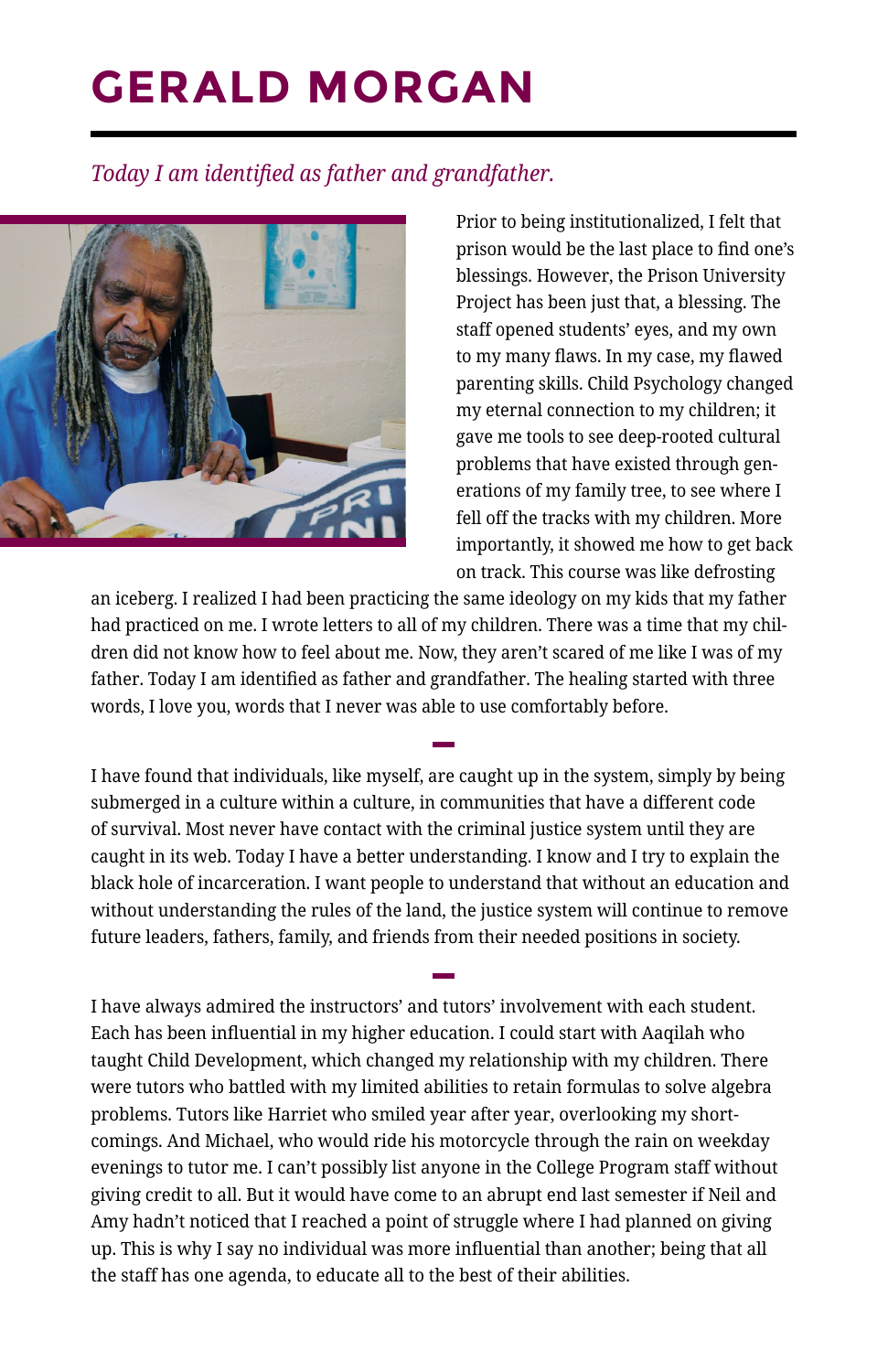### **GERALD MORGAN**

#### *Today I am identified as father and grandfather.*



Prior to being institutionalized, I felt that prison would be the last place to find one's blessings. However, the Prison University Project has been just that, a blessing. The staff opened students' eyes, and my own to my many flaws. In my case, my flawed parenting skills. Child Psychology changed my eternal connection to my children; it gave me tools to see deep-rooted cultural problems that have existed through generations of my family tree, to see where I fell off the tracks with my children. More importantly, it showed me how to get back on track. This course was like defrosting

an iceberg. I realized I had been practicing the same ideology on my kids that my father had practiced on me. I wrote letters to all of my children. There was a time that my children did not know how to feel about me. Now, they aren't scared of me like I was of my father. Today I am identified as father and grandfather. The healing started with three words, I love you, words that I never was able to use comfortably before.

**—**

I have found that individuals, like myself, are caught up in the system, simply by being submerged in a culture within a culture, in communities that have a different code of survival. Most never have contact with the criminal justice system until they are caught in its web. Today I have a better understanding. I know and I try to explain the black hole of incarceration. I want people to understand that without an education and without understanding the rules of the land, the justice system will continue to remove future leaders, fathers, family, and friends from their needed positions in society.

**—**

I have always admired the instructors' and tutors' involvement with each student. Each has been influential in my higher education. I could start with Aaqilah who taught Child Development, which changed my relationship with my children. There were tutors who battled with my limited abilities to retain formulas to solve algebra problems. Tutors like Harriet who smiled year after year, overlooking my shortcomings. And Michael, who would ride his motorcycle through the rain on weekday evenings to tutor me. I can't possibly list anyone in the College Program staff without giving credit to all. But it would have come to an abrupt end last semester if Neil and Amy hadn't noticed that I reached a point of struggle where I had planned on giving up. This is why I say no individual was more influential than another; being that all the staff has one agenda, to educate all to the best of their abilities.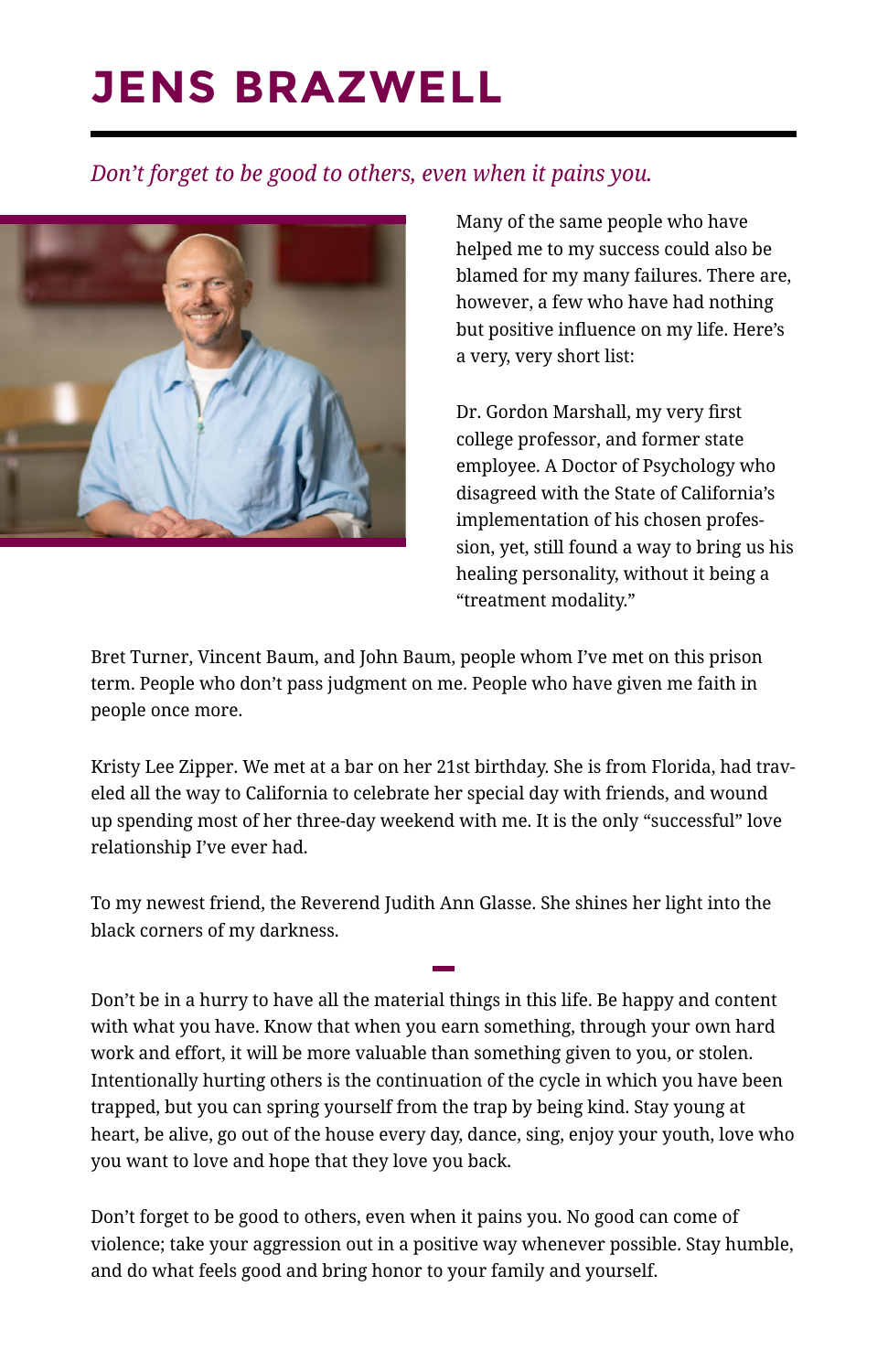### **JENS BRAZWELL**

#### *Don't forget to be good to others, even when it pains you.*



Many of the same people who have helped me to my success could also be blamed for my many failures. There are, however, a few who have had nothing but positive influence on my life. Here's a very, very short list:

Dr. Gordon Marshall, my very first college professor, and former state employee. A Doctor of Psychology who disagreed with the State of California's implementation of his chosen profession, yet, still found a way to bring us his healing personality, without it being a "treatment modality."

Bret Turner, Vincent Baum, and John Baum, people whom I've met on this prison term. People who don't pass judgment on me. People who have given me faith in people once more.

Kristy Lee Zipper. We met at a bar on her 21st birthday. She is from Florida, had traveled all the way to California to celebrate her special day with friends, and wound up spending most of her three-day weekend with me. It is the only "successful" love relationship I've ever had.

To my newest friend, the Reverend Judith Ann Glasse. She shines her light into the black corners of my darkness.

**—**

Don't be in a hurry to have all the material things in this life. Be happy and content with what you have. Know that when you earn something, through your own hard work and effort, it will be more valuable than something given to you, or stolen. Intentionally hurting others is the continuation of the cycle in which you have been trapped, but you can spring yourself from the trap by being kind. Stay young at heart, be alive, go out of the house every day, dance, sing, enjoy your youth, love who you want to love and hope that they love you back.

Don't forget to be good to others, even when it pains you. No good can come of violence; take your aggression out in a positive way whenever possible. Stay humble, and do what feels good and bring honor to your family and yourself.